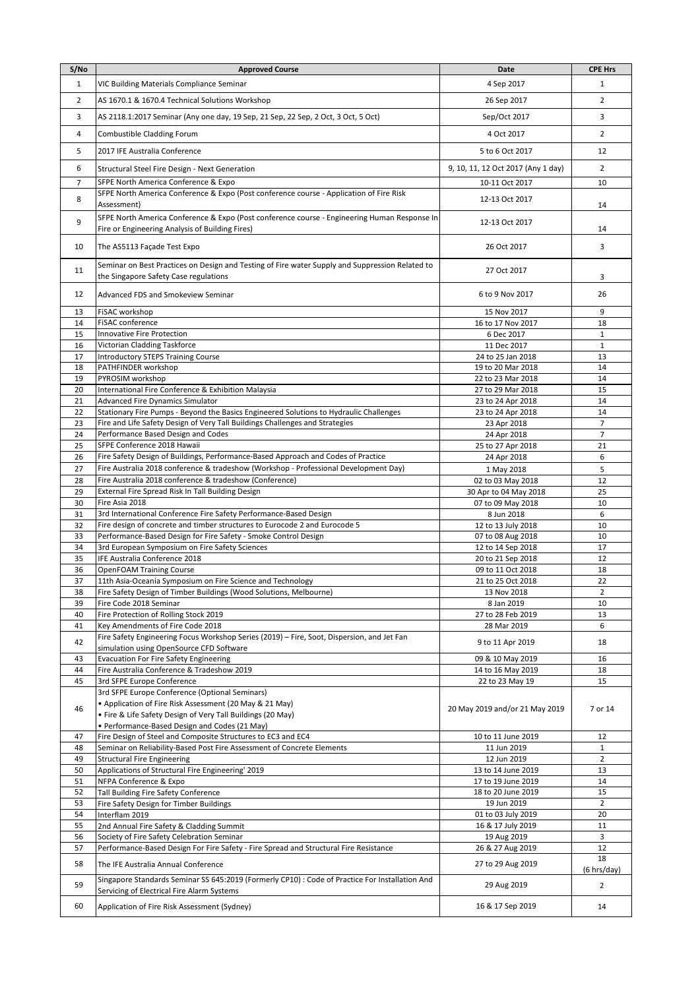| S/No           | <b>Approved Course</b>                                                                                             | Date                                   | <b>CPE Hrs</b>                   |
|----------------|--------------------------------------------------------------------------------------------------------------------|----------------------------------------|----------------------------------|
| 1              | VIC Building Materials Compliance Seminar                                                                          | 4 Sep 2017                             | 1                                |
| $\overline{2}$ | AS 1670.1 & 1670.4 Technical Solutions Workshop                                                                    | 26 Sep 2017                            | $\overline{2}$                   |
|                |                                                                                                                    |                                        |                                  |
| 3              | AS 2118.1:2017 Seminar (Any one day, 19 Sep, 21 Sep, 22 Sep, 2 Oct, 3 Oct, 5 Oct)                                  | Sep/Oct 2017                           | 3                                |
| 4              | Combustible Cladding Forum                                                                                         | 4 Oct 2017                             | $\overline{2}$                   |
| 5              | 2017 IFE Australia Conference                                                                                      | 5 to 6 Oct 2017                        | 12                               |
|                |                                                                                                                    |                                        |                                  |
| 6              | Structural Steel Fire Design - Next Generation                                                                     | 9, 10, 11, 12 Oct 2017 (Any 1 day)     | $\overline{2}$                   |
| 7              | SFPE North America Conference & Expo                                                                               | 10-11 Oct 2017                         | 10                               |
| 8              | SFPE North America Conference & Expo (Post conference course - Application of Fire Risk<br>Assessment)             | 12-13 Oct 2017                         | 14                               |
|                | SFPE North America Conference & Expo (Post conference course - Engineering Human Response In                       |                                        |                                  |
| 9              | Fire or Engineering Analysis of Building Fires)                                                                    | 12-13 Oct 2017                         | 14                               |
|                |                                                                                                                    |                                        | 3                                |
| 10             | The AS5113 Façade Test Expo                                                                                        | 26 Oct 2017                            |                                  |
| 11             | Seminar on Best Practices on Design and Testing of Fire water Supply and Suppression Related to                    | 27 Oct 2017                            |                                  |
|                | the Singapore Safety Case regulations                                                                              |                                        | 3                                |
| 12             | Advanced FDS and Smokeview Seminar                                                                                 | 6 to 9 Nov 2017                        | 26                               |
| 13             | FiSAC workshop                                                                                                     | 15 Nov 2017                            | 9                                |
| 14             | FiSAC conference                                                                                                   | 16 to 17 Nov 2017                      | 18                               |
| 15             | Innovative Fire Protection                                                                                         | 6 Dec 2017                             | $\mathbf{1}$                     |
| 16             | Victorian Cladding Taskforce                                                                                       | 11 Dec 2017                            | $\mathbf{1}$                     |
| 17             | <b>Introductory STEPS Training Course</b>                                                                          | 24 to 25 Jan 2018                      | 13                               |
| 18             | PATHFINDER workshop                                                                                                | 19 to 20 Mar 2018                      | 14                               |
| 19             | PYROSIM workshop                                                                                                   | 22 to 23 Mar 2018                      | 14                               |
| 20             | International Fire Conference & Exhibition Malaysia                                                                | 27 to 29 Mar 2018                      | 15                               |
| 21             | <b>Advanced Fire Dynamics Simulator</b>                                                                            | 23 to 24 Apr 2018                      | 14                               |
| 22             | Stationary Fire Pumps - Beyond the Basics Engineered Solutions to Hydraulic Challenges                             | 23 to 24 Apr 2018                      | 14                               |
| 23<br>24       | Fire and Life Safety Design of Very Tall Buildings Challenges and Strategies<br>Performance Based Design and Codes | 23 Apr 2018<br>24 Apr 2018             | $\overline{7}$<br>$\overline{7}$ |
| 25             | SFPE Conference 2018 Hawaii                                                                                        | 25 to 27 Apr 2018                      | 21                               |
| 26             | Fire Safety Design of Buildings, Performance-Based Approach and Codes of Practice                                  | 24 Apr 2018                            | 6                                |
| 27             | Fire Australia 2018 conference & tradeshow (Workshop - Professional Development Day)                               | 1 May 2018                             | 5                                |
| 28             | Fire Australia 2018 conference & tradeshow (Conference)                                                            | 02 to 03 May 2018                      | 12                               |
| 29             | External Fire Spread Risk In Tall Building Design                                                                  | 30 Apr to 04 May 2018                  | 25                               |
| 30             | Fire Asia 2018                                                                                                     | 07 to 09 May 2018                      | 10                               |
| 31             | 3rd International Conference Fire Safety Performance-Based Design                                                  | 8 Jun 2018                             | 6                                |
| 32             | Fire design of concrete and timber structures to Eurocode 2 and Eurocode 5                                         | 12 to 13 July 2018                     | 10                               |
| 33             | Performance-Based Design for Fire Safety - Smoke Control Design                                                    | 07 to 08 Aug 2018                      | 10                               |
| 34<br>35       | 3rd European Symposium on Fire Safety Sciences<br>IFE Australia Conference 2018                                    | 12 to 14 Sep 2018<br>20 to 21 Sep 2018 | 17<br>12                         |
| 36             | <b>OpenFOAM Training Course</b>                                                                                    | 09 to 11 Oct 2018                      | 18                               |
| 37             | 11th Asia-Oceania Symposium on Fire Science and Technology                                                         | 21 to 25 Oct 2018                      | 22                               |
| 38             | Fire Safety Design of Timber Buildings (Wood Solutions, Melbourne)                                                 | 13 Nov 2018                            | $\overline{2}$                   |
| 39             | Fire Code 2018 Seminar                                                                                             | 8 Jan 2019                             | 10                               |
| 40             | Fire Protection of Rolling Stock 2019                                                                              | 27 to 28 Feb 2019                      | 13                               |
| 41             | Key Amendments of Fire Code 2018                                                                                   | 28 Mar 2019                            | 6                                |
| 42             | Fire Safety Engineering Focus Workshop Series (2019) - Fire, Soot, Dispersion, and Jet Fan                         | 9 to 11 Apr 2019                       | 18                               |
| 43             | simulation using OpenSource CFD Software<br><b>Evacuation For Fire Safety Engineering</b>                          | 09 & 10 May 2019                       | 16                               |
| 44             | Fire Australia Conference & Tradeshow 2019                                                                         | 14 to 16 May 2019                      | 18                               |
| 45             | 3rd SFPE Europe Conference                                                                                         | 22 to 23 May 19                        | 15                               |
|                | 3rd SFPE Europe Conference (Optional Seminars)                                                                     |                                        |                                  |
| 46             | • Application of Fire Risk Assessment (20 May & 21 May)                                                            | 20 May 2019 and/or 21 May 2019         | 7 or 14                          |
|                | . Fire & Life Safety Design of Very Tall Buildings (20 May)                                                        |                                        |                                  |
|                | · Performance-Based Design and Codes (21 May)                                                                      |                                        |                                  |
| 47             | Fire Design of Steel and Composite Structures to EC3 and EC4                                                       | 10 to 11 June 2019                     | 12                               |
| 48             | Seminar on Reliability-Based Post Fire Assessment of Concrete Elements                                             | 11 Jun 2019                            | $\mathbf{1}$                     |
| 49<br>50       | <b>Structural Fire Engineering</b><br>Applications of Structural Fire Engineering' 2019                            | 12 Jun 2019<br>13 to 14 June 2019      | $\overline{2}$<br>13             |
| 51             | NFPA Conference & Expo                                                                                             | 17 to 19 June 2019                     | 14                               |
| 52             | Tall Building Fire Safety Conference                                                                               | 18 to 20 June 2019                     | 15                               |
| 53             | Fire Safety Design for Timber Buildings                                                                            | 19 Jun 2019                            | $\overline{2}$                   |
| 54             | Interflam 2019                                                                                                     | 01 to 03 July 2019                     | 20                               |
| 55             | 2nd Annual Fire Safety & Cladding Summit                                                                           | 16 & 17 July 2019                      | 11                               |
| 56             | Society of Fire Safety Celebration Seminar                                                                         | 19 Aug 2019                            | 3                                |
| 57             | Performance-Based Design For Fire Safety - Fire Spread and Structural Fire Resistance                              | 26 & 27 Aug 2019                       | 12<br>18                         |
| 58             | The IFE Australia Annual Conference                                                                                | 27 to 29 Aug 2019                      | (6 hrs/day)                      |
|                | Singapore Standards Seminar SS 645:2019 (Formerly CP10) : Code of Practice For Installation And                    |                                        |                                  |
| 59             | Servicing of Electrical Fire Alarm Systems                                                                         | 29 Aug 2019                            | $\overline{2}$                   |
| 60             | Application of Fire Risk Assessment (Sydney)                                                                       | 16 & 17 Sep 2019                       | 14                               |
|                |                                                                                                                    |                                        |                                  |